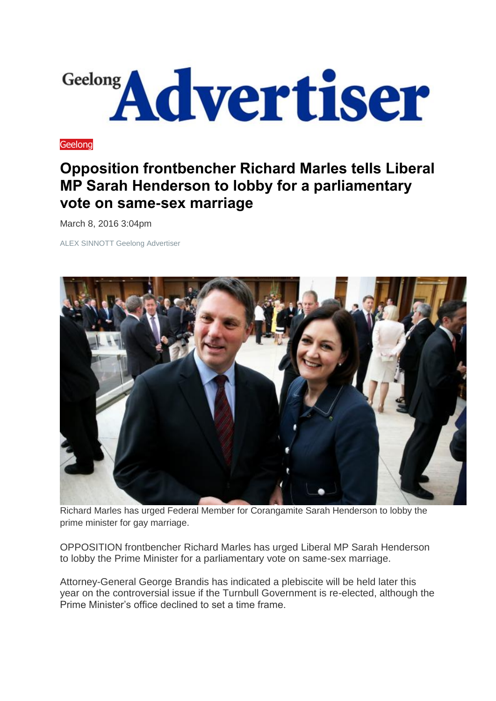

**[Geelong](http://www.geelongadvertiser.com.au/news/geelong)** 

## **Opposition frontbencher Richard Marles tells Liberal MP Sarah Henderson to lobby for a parliamentary vote on same-sex marriage**

March 8, 2016 3:04pm

ALEX SINNOTT Geelong Advertiser



Richard Marles has urged Federal Member for Corangamite Sarah Henderson to lobby the prime minister for gay marriage.

OPPOSITION frontbencher Richard Marles has urged Liberal MP Sarah Henderson to lobby the Prime Minister for a parliamentary vote on same-sex marriage.

Attorney-General George Brandis has indicated a plebiscite will be held later this year on the controversial issue if the Turnbull Government is re-elected, although the Prime Minister's office declined to set a time frame.